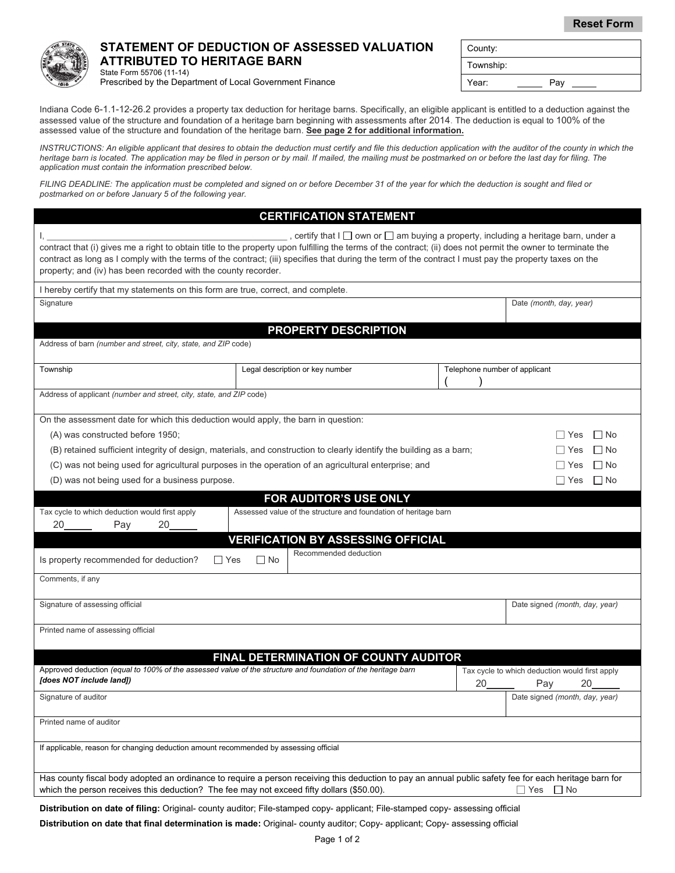**Reset Form**



## **STATEMENT OF DEDUCTION OF ASSESSED VALUATION ATTRIBUTED TO HERITAGE BARN**

| County:   |     |
|-----------|-----|
| Township: |     |
| Year:     | Pay |

State Form 55706 (11-14) Prescribed by the Department of Local Government Finance

Indiana Code 6-1.1-12-26.2 provides a property tax deduction for heritage barns. Specifically, an eligible applicant is entitled to a deduction against the assessed value of the structure and foundation of a heritage barn beginning with assessments after 2014. The deduction is equal to 100% of the assessed value of the structure and foundation of the heritage barn. **See page 2 for additional information.**

*INSTRUCTIONS: An eligible applicant that desires to obtain the deduction must certify and file this deduction application with the auditor of the county in which the*  heritage barn is located. The application may be filed in person or by mail. If mailed, the mailing must be postmarked on or before the last day for filing. The *application must contain the information prescribed below.* 

*FILING DEADLINE: The application must be completed and signed on or before December 31 of the year for which the deduction is sought and filed or postmarked on or before January 5 of the following year.*

|                                                                                                                                                                                                                                                                                                                                                                                           |                                 | <b>CERTIFICATION STATEMENT</b>                                                                 |                               |                                                |  |  |
|-------------------------------------------------------------------------------------------------------------------------------------------------------------------------------------------------------------------------------------------------------------------------------------------------------------------------------------------------------------------------------------------|---------------------------------|------------------------------------------------------------------------------------------------|-------------------------------|------------------------------------------------|--|--|
| contract that (i) gives me a right to obtain title to the property upon fulfilling the terms of the contract; (ii) does not permit the owner to terminate the<br>contract as long as I comply with the terms of the contract; (iii) specifies that during the term of the contract I must pay the property taxes on the<br>property; and (iv) has been recorded with the county recorder. |                                 | , certify that I $\Box$ own or $\Box$ am buying a property, including a heritage barn, under a |                               |                                                |  |  |
| I hereby certify that my statements on this form are true, correct, and complete.                                                                                                                                                                                                                                                                                                         |                                 |                                                                                                |                               |                                                |  |  |
| Signature                                                                                                                                                                                                                                                                                                                                                                                 |                                 |                                                                                                |                               | Date (month, day, year)                        |  |  |
|                                                                                                                                                                                                                                                                                                                                                                                           |                                 |                                                                                                |                               |                                                |  |  |
| PROPERTY DESCRIPTION                                                                                                                                                                                                                                                                                                                                                                      |                                 |                                                                                                |                               |                                                |  |  |
| Address of barn (number and street, city, state, and ZIP code)                                                                                                                                                                                                                                                                                                                            |                                 |                                                                                                |                               |                                                |  |  |
| Township                                                                                                                                                                                                                                                                                                                                                                                  | Legal description or key number |                                                                                                | Telephone number of applicant |                                                |  |  |
|                                                                                                                                                                                                                                                                                                                                                                                           |                                 |                                                                                                |                               |                                                |  |  |
| Address of applicant (number and street, city, state, and ZIP code)                                                                                                                                                                                                                                                                                                                       |                                 |                                                                                                |                               |                                                |  |  |
| On the assessment date for which this deduction would apply, the barn in question:                                                                                                                                                                                                                                                                                                        |                                 |                                                                                                |                               |                                                |  |  |
| (A) was constructed before 1950;                                                                                                                                                                                                                                                                                                                                                          | $\Box$ No<br>∣∣Yes              |                                                                                                |                               |                                                |  |  |
| (B) retained sufficient integrity of design, materials, and construction to clearly identify the building as a barn;                                                                                                                                                                                                                                                                      | $\Box$ No<br>∐ Yes              |                                                                                                |                               |                                                |  |  |
| (C) was not being used for agricultural purposes in the operation of an agricultural enterprise; and                                                                                                                                                                                                                                                                                      | $\square$ No<br>l I Yes         |                                                                                                |                               |                                                |  |  |
| (D) was not being used for a business purpose.                                                                                                                                                                                                                                                                                                                                            |                                 |                                                                                                |                               | $\Box$ No<br>$\Box$ Yes                        |  |  |
|                                                                                                                                                                                                                                                                                                                                                                                           |                                 |                                                                                                |                               |                                                |  |  |
| Tax cycle to which deduction would first apply                                                                                                                                                                                                                                                                                                                                            |                                 | FOR AUDITOR'S USE ONLY<br>Assessed value of the structure and foundation of heritage barn      |                               |                                                |  |  |
| 20<br>20<br>Pay                                                                                                                                                                                                                                                                                                                                                                           |                                 |                                                                                                |                               |                                                |  |  |
| <b>VERIFICATION BY ASSESSING OFFICIAL</b>                                                                                                                                                                                                                                                                                                                                                 |                                 |                                                                                                |                               |                                                |  |  |
| Recommended deduction                                                                                                                                                                                                                                                                                                                                                                     |                                 |                                                                                                |                               |                                                |  |  |
| Is property recommended for deduction?<br>$\Box$ Yes                                                                                                                                                                                                                                                                                                                                      | ∐ No                            |                                                                                                |                               |                                                |  |  |
| Comments, if any                                                                                                                                                                                                                                                                                                                                                                          |                                 |                                                                                                |                               |                                                |  |  |
| Signature of assessing official                                                                                                                                                                                                                                                                                                                                                           |                                 |                                                                                                |                               | Date signed (month, day, year)                 |  |  |
|                                                                                                                                                                                                                                                                                                                                                                                           |                                 |                                                                                                |                               |                                                |  |  |
| Printed name of assessing official                                                                                                                                                                                                                                                                                                                                                        |                                 |                                                                                                |                               |                                                |  |  |
|                                                                                                                                                                                                                                                                                                                                                                                           |                                 |                                                                                                |                               |                                                |  |  |
|                                                                                                                                                                                                                                                                                                                                                                                           |                                 | FINAL DETERMINATION OF COUNTY AUDITOR                                                          |                               |                                                |  |  |
| Approved deduction (equal to 100% of the assessed value of the structure and foundation of the heritage barn<br>[does NOT include land])                                                                                                                                                                                                                                                  |                                 |                                                                                                |                               | Tax cycle to which deduction would first apply |  |  |
|                                                                                                                                                                                                                                                                                                                                                                                           |                                 |                                                                                                | 20                            | Pay<br>20                                      |  |  |
| Signature of auditor                                                                                                                                                                                                                                                                                                                                                                      |                                 |                                                                                                |                               | Date signed (month, day, year)                 |  |  |
| Printed name of auditor                                                                                                                                                                                                                                                                                                                                                                   |                                 |                                                                                                |                               |                                                |  |  |
| If applicable, reason for changing deduction amount recommended by assessing official                                                                                                                                                                                                                                                                                                     |                                 |                                                                                                |                               |                                                |  |  |
| Has county fiscal body adopted an ordinance to require a person receiving this deduction to pay an annual public safety fee for each heritage barn for                                                                                                                                                                                                                                    |                                 |                                                                                                |                               |                                                |  |  |
| which the person receives this deduction? The fee may not exceed fifty dollars (\$50.00).<br>$\Box$ No<br>∣ Yes                                                                                                                                                                                                                                                                           |                                 |                                                                                                |                               |                                                |  |  |
| Distribution on date of filing: Original- county auditor; File-stamped copy- applicant; File-stamped copy- assessing official                                                                                                                                                                                                                                                             |                                 |                                                                                                |                               |                                                |  |  |

**Distribution on date that final determination is made:** Original- county auditor; Copy- applicant; Copy- assessing official